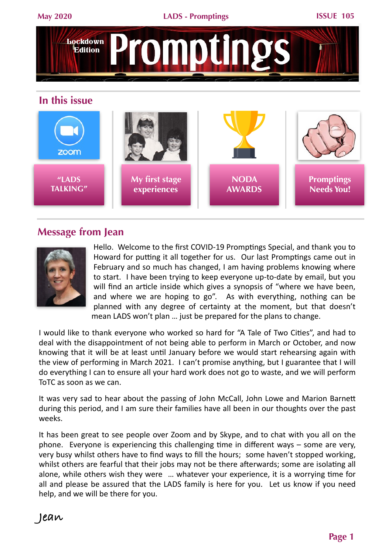

#### **In this issue**



## **Message from Jean**



Hello. Welcome to the first COVID-19 Promptings Special, and thank you to Howard for putting it all together for us. Our last Promptings came out in February and so much has changed, I am having problems knowing where to start. I have been trying to keep everyone up-to-date by email, but you will find an article inside which gives a synopsis of "where we have been, and where we are hoping to go". As with everything, nothing can be planned with any degree of certainty at the moment, but that doesn't mean LADS won't plan ... just be prepared for the plans to change.

I would like to thank everyone who worked so hard for "A Tale of Two Cities", and had to deal with the disappointment of not being able to perform in March or October, and now knowing that it will be at least until January before we would start rehearsing again with the view of performing in March 2021. I can't promise anything, but I guarantee that I will do everything I can to ensure all your hard work does not go to waste, and we will perform ToTC as soon as we can.

It was very sad to hear about the passing of John McCall, John Lowe and Marion Barnett during this period, and I am sure their families have all been in our thoughts over the past weeks. 

It has been great to see people over Zoom and by Skype, and to chat with you all on the phone. Everyone is experiencing this challenging time in different ways  $-$  some are very, very busy whilst others have to find ways to fill the hours; some haven't stopped working, whilst others are fearful that their jobs may not be there afterwards; some are isolating all alone, while others wish they were ... whatever your experience, it is a worrying time for all and please be assured that the LADS family is here for you. Let us know if you need help, and we will be there for you.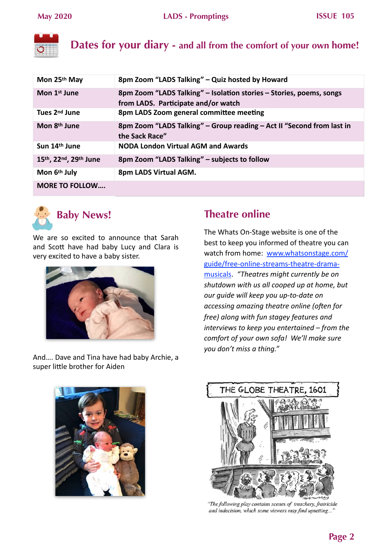

**Dates for your diary - and all from the comfort of your own home!**

| Mon 25th May              | 8pm Zoom "LADS Talking" - Quiz hosted by Howard                                                            |
|---------------------------|------------------------------------------------------------------------------------------------------------|
| Mon 1 <sup>st</sup> June  | 8pm Zoom "LADS Talking" – Isolation stories – Stories, poems, songs<br>from LADS. Participate and/or watch |
| Tues 2 <sup>nd</sup> June | 8pm LADS Zoom general committee meeting                                                                    |
| Mon 8 <sup>th</sup> June  | 8pm Zoom "LADS Talking" – Group reading – Act II "Second from last in<br>the Sack Race"                    |
| Sun 14 <sup>th</sup> June | <b>NODA London Virtual AGM and Awards</b>                                                                  |
| 15th, 22nd, 29th June     | 8pm Zoom "LADS Talking" - subjects to follow                                                               |
| Mon 6th July              | 8pm LADS Virtual AGM.                                                                                      |
| <b>MORE TO FOLLOW</b>     |                                                                                                            |



# **Baby News!**

We are so excited to announce that Sarah and Scott have had baby Lucy and Clara is very excited to have a baby sister.



And.... Dave and Tina have had baby Archie, a super little brother for Aiden

## **Theatre online**

The Whats On-Stage website is one of the best to keep you informed of theatre you can watch from home: www.whatsonstage.com/ guide/free-online-streams-theatre-dramamusicals. "Theatres might currently be on shutdown with us all cooped up at home, but *our guide will keep you up-to-date on accessing amazing theatre online (often for free)* along with fun stagey features and *interviews to keep you entertained* – from the *comfort of your own sofa! We'll make sure you don't miss a thing."*





"The following play contains scenes of treachery, fratricide and indecision, which some viewers may find upsetting...'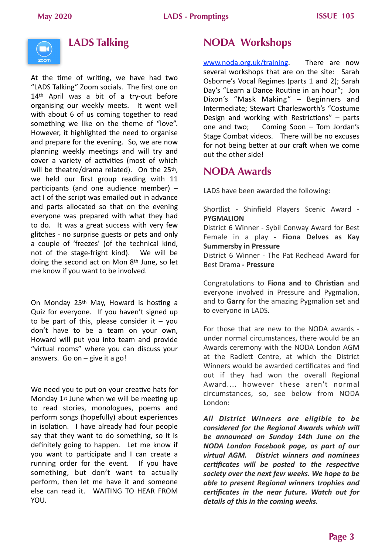

## **LADS Talking**

At the time of writing, we have had two "LADS Talking" Zoom socials. The first one on 14<sup>th</sup> April was a bit of a try-out before organising our weekly meets. It went well with about 6 of us coming together to read something we like on the theme of "love". However, it highlighted the need to organise and prepare for the evening. So, we are now planning weekly meetings and will try and cover a variety of activities (most of which will be theatre/drama related). On the  $25<sup>th</sup>$ . we held our first group reading with 11 participants (and one audience member)  $$ act I of the script was emailed out in advance and parts allocated so that on the evening everyone was prepared with what they had to do. It was a great success with very few glitches - no surprise guests or pets and only a couple of 'freezes' (of the technical kind, not of the stage-fright kind). We will be doing the second act on Mon  $8<sup>th</sup>$  June, so let me know if you want to be involved.

On Monday 25<sup>th</sup> May, Howard is hosting a Quiz for everyone. If you haven't signed up to be part of this, please consider it  $-$  you don't have to be a team on your own, Howard will put you into team and provide "virtual rooms" where you can discuss your answers. Go on  $-$  give it a go!

We need you to put on your creative hats for Monday  $1<sup>st</sup>$  June when we will be meeting up to read stories, monologues, poems and perform songs (hopefully) about experiences in isolation. I have already had four people say that they want to do something, so it is definitely going to happen. Let me know if you want to participate and I can create a running order for the event. If you have something, but don't want to actually perform, then let me have it and someone else can read it. WAITING TO HEAR FROM YOU. 

## **NODA Workshops**

www.noda.org.uk/training. There are now several workshops that are on the site: Sarah Osborne's Vocal Regimes (parts 1 and 2); Sarah Day's "Learn a Dance Routine in an hour"; Jon Dixon's "Mask Making" - Beginners and Intermediate; Stewart Charlesworth's "Costume Design and working with Restrictions"  $-$  parts one and two; Coming Soon  $-$  Tom Jordan's Stage Combat videos. There will be no excuses for not being better at our craft when we come out the other side!

## **NODA Awards**

LADS have been awarded the following:

Shortlist - Shinfield Players Scenic Award -**PYGMALION**

District 6 Winner - Sybil Conway Award for Best Female in a play - Fiona Delves as Kay **Summersby in Pressure** 

District 6 Winner - The Pat Redhead Award for Best Drama **- Pressure**

Congratulations to Fiona and to Christian and everyone involved in Pressure and Pygmalion, and to Garry for the amazing Pygmalion set and to everyone in LADS.

For those that are new to the NODA awards under normal circumstances, there would be an Awards ceremony with the NODA London AGM at the Radlett Centre, at which the District Winners would be awarded certificates and find out if they had won the overall Regional Award.... however these aren't normal circumstances, so, see below from NODA London: 

*All District Winners are eligible to be considered for the Regional Awards which will* be announced on Sunday 14th June on the *NODA London Facebook page, as part of our virtual AGM. District winners and nominees certificates* will be posted to the respective society over the next few weeks. We hope to be *able to present Regional winners trophies and* certificates in the near future. Watch out for details of this in the coming weeks.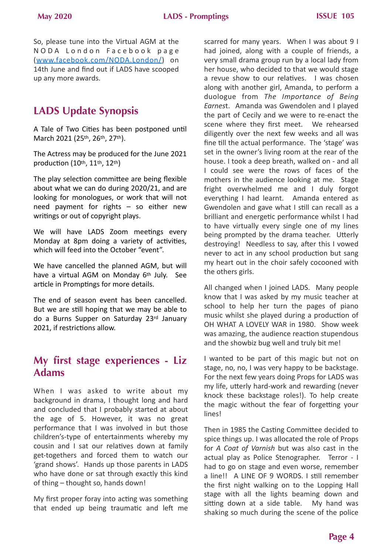So, please tune into the Virtual AGM at the N O D A L ond on Facebook page (www.facebook.com/NODA.London/) on 14th June and find out if LADS have scooped up any more awards.

## **LADS Update Synopsis**

A Tale of Two Cities has been postponed until March 2021 (25th, 26th, 27th).

The Actress may be produced for the June 2021 production (10th, 11th, 12th)

The play selection committee are being flexible about what we can do during 2020/21, and are looking for monologues, or work that will not need payment for rights  $-$  so either new writings or out of copyright plays.

We will have LADS Zoom meetings every Monday at 8pm doing a variety of activities, which will feed into the October "event".

We have cancelled the planned AGM, but will have a virtual AGM on Monday  $6<sup>th</sup>$  July. See article in Promptings for more details.

The end of season event has been cancelled. But we are still hoping that we may be able to do a Burns Supper on Saturday 23rd January 2021, if restrictions allow.

## **My first stage experiences - Liz Adams**

When I was asked to write about my background in drama, I thought long and hard and concluded that I probably started at about the age of 5. However, it was no great performance that I was involved in but those children's-type of entertainments whereby my cousin and I sat our relatives down at family get-togethers and forced them to watch our 'grand shows'. Hands up those parents in LADS who have done or sat through exactly this kind of thing – thought so, hands down!

My first proper foray into acting was something that ended up being traumatic and left me

scarred for many years. When I was about 9 I had joined, along with a couple of friends, a very small drama group run by a local lady from her house, who decided to that we would stage a revue show to our relatives. I was chosen along with another girl, Amanda, to perform a duologue from The Importance of Being Earnest. Amanda was Gwendolen and I played the part of Cecily and we were to re-enact the scene where they first meet. We rehearsed diligently over the next few weeks and all was fine till the actual performance. The 'stage' was set in the owner's living room at the rear of the house. I took a deep breath, walked on - and all I could see were the rows of faces of the mothers in the audience looking at me. Stage fright overwhelmed me and I duly forgot everything I had learnt. Amanda entered as Gwendolen and gave what I still can recall as a brilliant and energetic performance whilst I had to have virtually every single one of my lines being prompted by the drama teacher. Utterly destroying! Needless to say, after this I vowed never to act in any school production but sang my heart out in the choir safely cocooned with the others girls.

All changed when I joined LADS. Many people know that I was asked by my music teacher at school to help her turn the pages of piano music whilst she played during a production of OH WHAT A LOVELY WAR in 1980. Show week was amazing, the audience reaction stupendous and the showbiz bug well and truly bit me!

I wanted to be part of this magic but not on stage, no, no, I was very happy to be backstage. For the next few years doing Props for LADS was my life, utterly hard-work and rewarding (never knock these backstage roles!). To help create the magic without the fear of forgetting your lines! 

Then in 1985 the Casting Committee decided to spice things up. I was allocated the role of Props for *A* Coat of Varnish but was also cast in the actual play as Police Stenographer. Terror - I had to go on stage and even worse, remember a line!! A LINE OF 9 WORDS. I still remember the first night walking on to the Lopping Hall stage with all the lights beaming down and sitting down at a side table. My hand was shaking so much during the scene of the police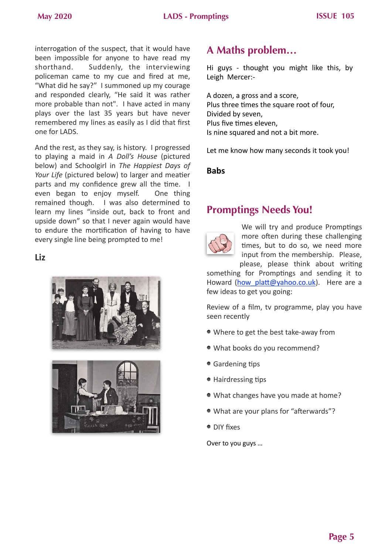interrogation of the suspect, that it would have been impossible for anyone to have read my shorthand. Suddenly, the interviewing policeman came to my cue and fired at me, "What did he say?" I summoned up my courage and responded clearly, "He said it was rather more probable than not". I have acted in many plays over the last 35 years but have never remembered my lines as easily as I did that first one for LADS. 

And the rest, as they say, is history. I progressed to playing a maid in *A Doll's House* (pictured below) and Schoolgirl in The Happiest Days of *Your Life* (pictured below) to larger and meatier parts and my confidence grew all the time.  $\blacksquare$ even began to enjoy myself. One thing remained though. I was also determined to learn my lines "inside out, back to front and upside down" so that I never again would have to endure the mortification of having to have every single line being prompted to me!

**Liz** 





## **A Maths problem…**

Hi guys - thought you might like this, by Leigh Mercer:-

A dozen, a gross and a score, Plus three times the square root of four, Divided by seven, Plus five times eleven, Is nine squared and not a bit more.

Let me know how many seconds it took you!

**Babs** 

## **Promptings Needs You!**



We will try and produce Promptings more often during these challenging times, but to do so, we need more input from the membership. Please, please, please think about writing

something for Promptings and sending it to Howard (how platt@yahoo.co.uk). Here are a few ideas to get you going:

Review of a film, tv programme, play you have seen recently

- Where to get the best take-away from
- . What books do you recommend?
- Gardening tips
- $\bullet$  Hairdressing tips
- What changes have you made at home?
- What are your plans for "afterwards"?
- DIY fixes

Over to you guys ...